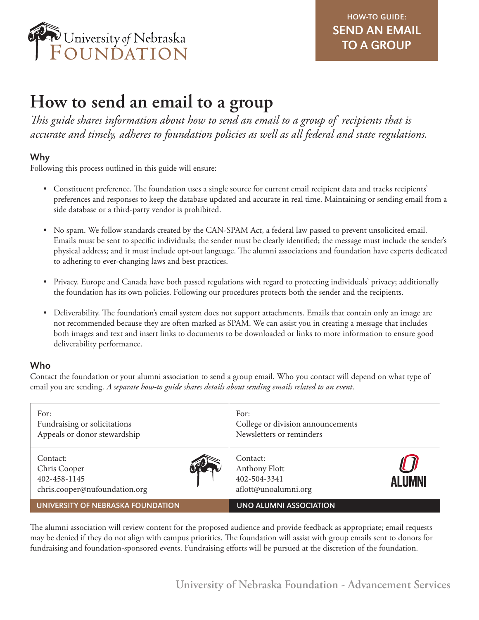

# **How to send an email to a group**

*This guide shares information about how to send an email to a group of recipients that is accurate and timely, adheres to foundation policies as well as all federal and state regulations.*

### Why

Following this process outlined in this guide will ensure:

- Constituent preference. The foundation uses a single source for current email recipient data and tracks recipients' preferences and responses to keep the database updated and accurate in real time. Maintaining or sending email from a side database or a third-party vendor is prohibited.
- No spam. We follow standards created by the CAN-SPAM Act, a federal law passed to prevent unsolicited email. Emails must be sent to specific individuals; the sender must be clearly identified; the message must include the sender's physical address; and it must include opt-out language. The alumni associations and foundation have experts dedicated to adhering to ever-changing laws and best practices.
- Privacy. Europe and Canada have both passed regulations with regard to protecting individuals' privacy; additionally the foundation has its own policies. Following our procedures protects both the sender and the recipients.
- Deliverability. The foundation's email system does not support attachments. Emails that contain only an image are not recommended because they are often marked as SPAM. We can assist you in creating a message that includes both images and text and insert links to documents to be downloaded or links to more information to ensure good deliverability performance.

## Who

Contact the foundation or your alumni association to send a group email. Who you contact will depend on what type of email you are sending. *A separate how-to guide shares details about sending emails related to an event*.

| For:<br>Fundraising or solicitations<br>Appeals or donor stewardship      | For:<br>College or division announcements<br>Newsletters or reminders       |
|---------------------------------------------------------------------------|-----------------------------------------------------------------------------|
| Contact:<br>Chris Cooper<br>402-458-1145<br>chris.cooper@nufoundation.org | Contact:<br>Anthony Flott<br>402-504-3341<br>ALUMNI<br>aflott@unoalumni.org |
| UNIVERSITY OF NEBRASKA FOUNDATION                                         | UNO ALUMNI ASSOCIATION                                                      |

The alumni association will review content for the proposed audience and provide feedback as appropriate; email requests may be denied if they do not align with campus priorities. The foundation will assist with group emails sent to donors for fundraising and foundation-sponsored events. Fundraising efforts will be pursued at the discretion of the foundation.